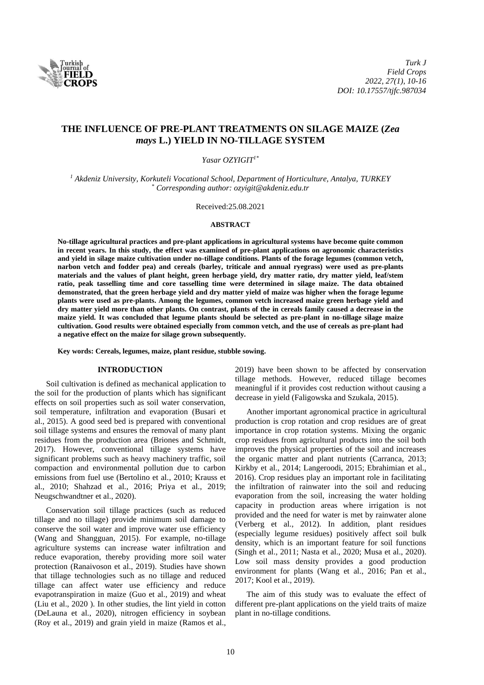

# **THE INFLUENCE OF PRE-PLANT TREATMENTS ON SILAGE MAIZE (***Zea mays* **L.) YIELD IN NO-TILLAGE SYSTEM**

*Yasar OZYIGIT1\**

*<sup>1</sup> Akdeniz University, Korkuteli Vocational School, Department of Horticulture, Antalya, TURKEY \* Corresponding author: ozyigit@akdeniz.edu.tr*

Received:25.08.2021

#### **ABSTRACT**

**No-tillage agricultural practices and pre-plant applications in agricultural systems have become quite common in recent years. In this study, the effect was examined of pre-plant applications on agronomic characteristics and yield in silage maize cultivation under no-tillage conditions. Plants of the forage legumes (common vetch, narbon vetch and fodder pea) and cereals (barley, triticale and annual ryegrass) were used as pre-plants materials and the values of plant height, green herbage yield, dry matter ratio, dry matter yield, leaf/stem ratio, peak tasselling time and core tasselling time were determined in silage maize. The data obtained demonstrated, that the green herbage yield and dry matter yield of maize was higher when the forage legume plants were used as pre-plants. Among the legumes, common vetch increased maize green herbage yield and dry matter yield more than other plants. On contrast, plants of the in cereals family caused a decrease in the maize yield. It was concluded that legume plants should be selected as pre-plant in no-tillage silage maize cultivation. Good results were obtained especially from common vetch, and the use of cereals as pre-plant had a negative effect on the maize for silage grown subsequently.**

**Key words: Cereals, legumes, maize, plant residue, stubble sowing.**

#### **INTRODUCTION**

Soil cultivation is defined as mechanical application to the soil for the production of plants which has significant effects on soil properties such as soil water conservation, soil temperature, infiltration and evaporation (Busari et al., 2015). A good seed bed is prepared with conventional soil tillage systems and ensures the removal of many plant residues from the production area (Briones and Schmidt, 2017). However, conventional tillage systems have significant problems such as heavy machinery traffic, soil compaction and environmental pollution due to carbon emissions from fuel use (Bertolino et al., 2010; Krauss et al., 2010; Shahzad et al., 2016; Priya et al., 2019; Neugschwandtner et al., 2020).

Conservation soil tillage practices (such as reduced tillage and no tillage) provide minimum soil damage to conserve the soil water and improve water use efficiency (Wang and Shangguan, 2015). For example, no-tillage agriculture systems can increase water infiltration and reduce evaporation, thereby providing more soil water protection (Ranaivoson et al., 2019). Studies have shown that tillage technologies such as no tillage and reduced tillage can affect water use efficiency and reduce evapotranspiration in maize (Guo et al., 2019) and wheat (Liu et al., 2020 ). In other studies, the lint yield in cotton (DeLauna et al., 2020), nitrogen efficiency in soybean (Roy et al., 2019) and grain yield in maize (Ramos et al.,

2019) have been shown to be affected by conservation tillage methods. However, reduced tillage becomes meaningful if it provides cost reduction without causing a decrease in yield (Faligowska and Szukala, 2015).

Another important agronomical practice in agricultural production is crop rotation and crop residues are of great importance in crop rotation systems. Mixing the organic crop residues from agricultural products into the soil both improves the physical properties of the soil and increases the organic matter and plant nutrients (Carranca, 2013; Kirkby et al., 2014; Langeroodi, 2015; Ebrahimian et al., 2016). Crop residues play an important role in facilitating the infiltration of rainwater into the soil and reducing evaporation from the soil, increasing the water holding capacity in production areas where irrigation is not provided and the need for water is met by rainwater alone (Verberg et al., 2012). In addition, plant residues (especially legume residues) positively affect soil bulk density, which is an important feature for soil functions (Singh et al., 2011; Nasta et al., 2020; Musa et al., 2020). Low soil mass density provides a good production environment for plants (Wang et al., 2016; Pan et al., 2017; Kool et al., 2019).

The aim of this study was to evaluate the effect of different pre-plant applications on the yield traits of maize plant in no-tillage conditions.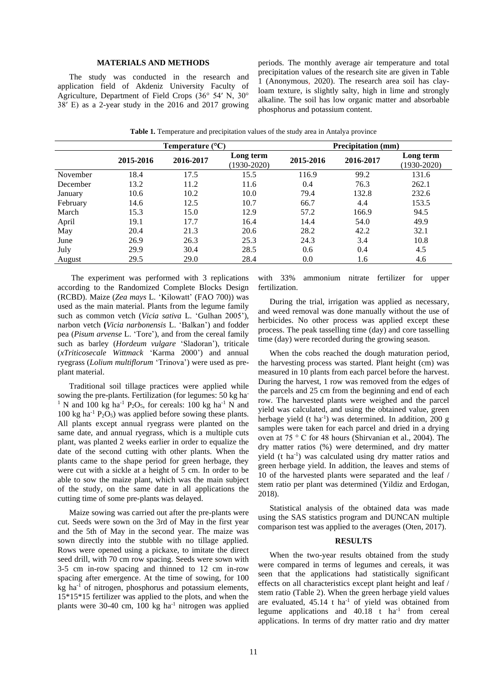### **MATERIALS AND METHODS**

The study was conducted in the research and application field of Akdeniz University Faculty of Agriculture, Department of Field Crops (36° 54′ N, 30° 38′ E) as a 2-year study in the 2016 and 2017 growing periods. The monthly average air temperature and total precipitation values of the research site are given in Table 1 (Anonymous, 2020). The research area soil has clayloam texture, is slightly salty, high in lime and strongly alkaline. The soil has low organic matter and absorbable phosphorus and potassium content.

(1930-2020)

| <b>Table 1.</b> Temperature and precipitation values of the study area in Antalya province |           |                              |           |                           |                              |  |  |  |
|--------------------------------------------------------------------------------------------|-----------|------------------------------|-----------|---------------------------|------------------------------|--|--|--|
| Temperature $(^{\circ}C)$                                                                  |           |                              |           | <b>Precipitation</b> (mm) |                              |  |  |  |
| 2015-2016                                                                                  | 2016-2017 | Long term<br>$(1930 - 2020)$ | 2015-2016 | 2016-2017                 | Long term<br>$(1930 - 2020)$ |  |  |  |

November 18.4 17.5 15.5 116.9 99.2 131.6 December 13.2 11.2 11.6 0.4 76.3 262.1 January 10.6 10.2 10.0 79.4 132.8 232.6 February 14.6 12.5 10.7 66.7 4.4 153.5 March 15.3 15.0 12.9 57.2 166.9 94.5 April 19.1 17.7 16.4 14.4 54.0 49.9 May 20.4 21.3 20.6 28.2 42.2 32.1 June 26.9 26.3 25.3 24.3 3.4 10.8 July 29.9 30.4 28.5 0.6 0.4 4.5

| August          | 29.5                                                                                                                                                                                                                                                                                                | 29.0 | 28.4 |                               | 0.0                                                                                                                                                                                                                                                              | 1.6 | 4.6 |
|-----------------|-----------------------------------------------------------------------------------------------------------------------------------------------------------------------------------------------------------------------------------------------------------------------------------------------------|------|------|-------------------------------|------------------------------------------------------------------------------------------------------------------------------------------------------------------------------------------------------------------------------------------------------------------|-----|-----|
|                 | The experiment was performed with 3 replications<br>according to the Randomized Complete Blocks Design<br>(RCBD). Maize (Zea mays L. 'Kilowatt' (FAO 700)) was                                                                                                                                      |      |      | with $33\%$<br>fertilization. | ammonium nitrate fertilizer                                                                                                                                                                                                                                      |     | for |
|                 | used as the main material. Plants from the legume family<br>such as common vetch (Vicia sativa L. 'Gulhan 2005'),<br>narbon vetch (Vicia narbonensis L. 'Balkan') and fodder<br>pea (Pisum arvense L. 'Tore'), and from the cereal family<br>such as barley (Hordeum vulgare 'Sladoran'), triticale |      |      |                               | During the trial, irrigation was applied as ned<br>and weed removal was done manually without the<br>herbicides. No other process was applied excep<br>process. The peak tasselling time (day) and core ta<br>time (day) were recorded during the growing season |     |     |
| plant material. | ( <i>xTriticosecale Wittmack</i> 'Karma 2000') and annual<br>ryegrass ( <i>Lolium multiflorum</i> 'Trinova') were used as pre-                                                                                                                                                                      |      |      |                               | When the cobs reached the dough maturation<br>the harvesting process was started. Plant height (c)<br>measured in 10 plants from each parcel before the l                                                                                                        |     |     |

Traditional soil tillage practices were applied while sowing the pre-plants. Fertilization (for legumes: 50 kg ha-<sup>1</sup> N and 100 kg ha<sup>-1</sup> P<sub>2</sub>O<sub>5</sub>, for cereals: 100 kg ha<sup>-1</sup> N and 100 kg ha<sup>-1</sup> P<sub>2</sub>O<sub>5</sub>) was applied before sowing these plants. All plants except annual ryegrass were planted on the same date, and annual ryegrass, which is a multiple cuts plant, was planted 2 weeks earlier in order to equalize the date of the second cutting with other plants. When the plants came to the shape period for green herbage, they were cut with a sickle at a height of 5 cm. In order to be able to sow the maize plant, which was the main subject of the study, on the same date in all applications the cutting time of some pre-plants was delayed.

Maize sowing was carried out after the pre-plants were cut. Seeds were sown on the 3rd of May in the first year and the 5th of May in the second year. The maize was sown directly into the stubble with no tillage applied. Rows were opened using a pickaxe, to imitate the direct seed drill, with 70 cm row spacing. Seeds were sown with 3-5 cm in-row spacing and thinned to 12 cm in-row spacing after emergence. At the time of sowing, for 100 kg ha -1 of nitrogen, phosphorus and potassium elements, 15\*15\*15 fertilizer was applied to the plots, and when the plants were 30-40 cm, 100 kg ha -1 nitrogen was applied with 33% ammonium nitrate fertilizer for upper fertilization.

During the trial, irrigation was applied as necessary, and weed removal was done manually without the use of herbicides. No other process was applied except these process. The peak tasselling time (day) and core tasselling time (day) were recorded during the growing season.

When the cobs reached the dough maturation period, the harvesting process was started. Plant height (cm) was measured in 10 plants from each parcel before the harvest. During the harvest, 1 row was removed from the edges of the parcels and 25 cm from the beginning and end of each row. The harvested plants were weighed and the parcel yield was calculated, and using the obtained value, green herbage yield (t ha<sup>-1</sup>) was determined. In addition, 200 g samples were taken for each parcel and dried in a drying oven at 75 ° C for 48 hours (Shirvanian et al., 2004). The dry matter ratios (%) were determined, and dry matter yield (t ha<sup>-1</sup>) was calculated using dry matter ratios and green herbage yield. In addition, the leaves and stems of 10 of the harvested plants were separated and the leaf / stem ratio per plant was determined (Yildiz and Erdogan, 2018).

Statistical analysis of the obtained data was made using the SAS statistics program and DUNCAN multiple comparison test was applied to the averages (Oten, 2017).

#### **RESULTS**

When the two-year results obtained from the study were compared in terms of legumes and cereals, it was seen that the applications had statistically significant effects on all characteristics except plant height and leaf / stem ratio (Table 2). When the green herbage yield values are evaluated,  $45.14$  t ha<sup>-1</sup> of yield was obtained from legume applications and  $40.18$  t ha<sup>-1</sup> from cereal applications. In terms of dry matter ratio and dry matter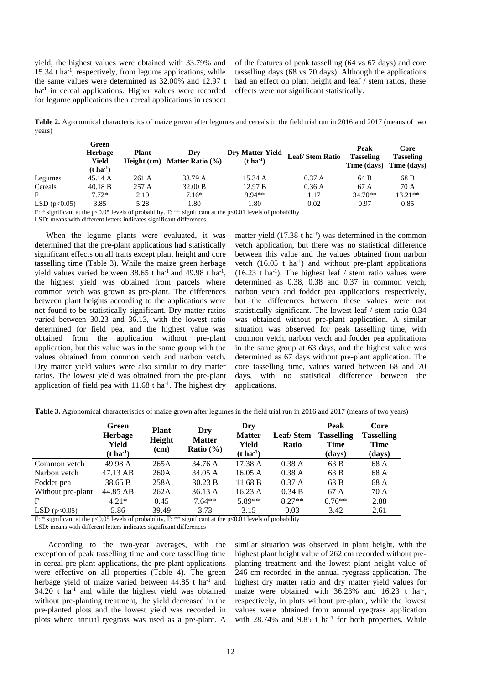yield, the highest values were obtained with 33.79% and 15.34 t ha<sup>-1</sup>, respectively, from legume applications, while the same values were determined as 32.00% and 12.97 t ha<sup>-1</sup> in cereal applications. Higher values were recorded for legume applications then cereal applications in respect

of the features of peak tasselling (64 vs 67 days) and core tasselling days (68 vs 70 days). Although the applications had an effect on plant height and leaf / stem ratios, these effects were not significant statistically.

**Table 2.** Agronomical characteristics of maize grown after legumes and cereals in the field trial run in 2016 and 2017 (means of two years)

|                | Green<br><b>Herbage</b><br>Yield<br>$(t \, ha^{-1})$ | <b>Plant</b> | Drv<br>Height (cm) Matter Ratio $(\% )$ | <b>Dry Matter Yield</b><br>$(t \, \mathrm{ha}^{-1})$ | <b>Leaf/Stem Ratio</b> | Peak<br><b>Tasseling</b><br>Time (days) Time (days) | Core<br><b>Tasseling</b> |
|----------------|------------------------------------------------------|--------------|-----------------------------------------|------------------------------------------------------|------------------------|-----------------------------------------------------|--------------------------|
| Legumes        | 45.14 A                                              | 261 A        | 33.79 A                                 | 15.34 A                                              | 0.37 A                 | 64 B                                                | 68 B                     |
| Cereals        | 40.18 B                                              | 257 A        | 32.00 B                                 | 12.97 B                                              | 0.36 A                 | 67 A                                                | 70 A                     |
| F              | $7.72*$                                              | 2.19         | $7.16*$                                 | $9.94**$                                             | 1.17                   | $34.70**$                                           | $13.21**$                |
| LSD $(p<0.05)$ | 3.85                                                 | 5.28         | 1.80                                    | 1.80                                                 | 0.02                   | 0.97                                                | 0.85                     |

F: \* significant at the p<0.05 levels of probability, F: \*\* significant at the p<0.01 levels of probability

LSD: means with different letters indicates significant differences

When the legume plants were evaluated, it was determined that the pre-plant applications had statistically significant effects on all traits except plant height and core tasselling time (Table 3). While the maize green herbage yield values varied between  $38.65$  t ha<sup>-1</sup> and  $49.98$  t ha<sup>-1</sup>, the highest yield was obtained from parcels where common vetch was grown as pre-plant. The differences between plant heights according to the applications were not found to be statistically significant. Dry matter ratios varied between 30.23 and 36.13, with the lowest ratio determined for field pea, and the highest value was obtained from the application without pre-plant application, but this value was in the same group with the values obtained from common vetch and narbon vetch. Dry matter yield values were also similar to dry matter ratios. The lowest yield was obtained from the pre-plant application of field pea with  $11.68$  t ha<sup>-1</sup>. The highest dry

matter yield  $(17.38 \text{ t} \text{ ha}^{-1})$  was determined in the common vetch application, but there was no statistical difference between this value and the values obtained from narbon vetch  $(16.05 \text{ t} \text{ ha}^{-1})$  and without pre-plant applications  $(16.23 \text{ t} \text{ ha}^{-1})$ . The highest leaf / stem ratio values were determined as 0.38, 0.38 and 0.37 in common vetch, narbon vetch and fodder pea applications, respectively, but the differences between these values were not statistically significant. The lowest leaf / stem ratio 0.34 was obtained without pre-plant application. A similar situation was observed for peak tasselling time, with common vetch, narbon vetch and fodder pea applications in the same group at 63 days, and the highest value was determined as 67 days without pre-plant application. The core tasselling time, values varied between 68 and 70 days, with no statistical difference between the applications.

|                   | Green<br><b>Herbage</b><br>Yield<br>$(t \, \mathrm{ha}^{-1})$ | <b>Plant</b><br>Height<br>(cm) | Dry<br><b>Matter</b><br>Ratio $(\% )$ | Dry<br><b>Matter</b><br>Yield<br>$(t \, \mathrm{ha}^{-1})$ | <b>Leaf/Stem</b><br><b>Ratio</b> | Peak<br><b>Tasselling</b><br>Time<br>(days) | Core<br><b>Tasselling</b><br><b>Time</b><br>(days) |
|-------------------|---------------------------------------------------------------|--------------------------------|---------------------------------------|------------------------------------------------------------|----------------------------------|---------------------------------------------|----------------------------------------------------|
| Common vetch      | 49.98 A                                                       | 265A                           | 34.76 A                               | 17.38 A                                                    | 0.38A                            | 63 B                                        | 68 A                                               |
| Narbon vetch      | 47.13 AB                                                      | 260A                           | 34.05 A                               | 16.05 A                                                    | 0.38A                            | 63 B                                        | 68 A                                               |
| Fodder pea        | 38.65 B                                                       | 258A                           | 30.23 B                               | 11.68 B                                                    | 0.37 A                           | 63 B                                        | 68 A                                               |
| Without pre-plant | 44.85 AB                                                      | 262A                           | 36.13 A                               | 16.23 A                                                    | 0.34 B                           | 67 A                                        | 70 A                                               |
| F                 | $4.21*$                                                       | 0.45                           | $7.64**$                              | $5.89**$                                                   | $8.27**$                         | $6.76**$                                    | 2.88                                               |
| LSD $(p<0.05)$    | 5.86                                                          | 39.49                          | 3.73                                  | 3.15                                                       | 0.03                             | 3.42                                        | 2.61                                               |

**Table 3.** Agronomical characteristics of maize grown after legumes in the field trial run in 2016 and 2017 (means of two years)

F: \* significant at the p<0.05 levels of probability, F: \*\* significant at the p<0.01 levels of probability

LSD: means with different letters indicates significant differences

According to the two-year averages, with the exception of peak tasselling time and core tasselling time in cereal pre-plant applications, the pre-plant applications were effective on all properties (Table 4). The green herbage yield of maize varied between 44.85 t ha<sup>-1</sup> and 34.20 t ha -1 and while the highest yield was obtained without pre-planting treatment, the yield decreased in the pre-planted plots and the lowest yield was recorded in plots where annual ryegrass was used as a pre-plant. A

similar situation was observed in plant height, with the highest plant height value of 262 cm recorded without preplanting treatment and the lowest plant height value of 246 cm recorded in the annual ryegrass application. The highest dry matter ratio and dry matter yield values for maize were obtained with  $36.23\%$  and  $16.23$  t ha<sup>-1</sup>, respectively, in plots without pre-plant, while the lowest values were obtained from annual ryegrass application with  $28.74\%$  and  $9.85$  t ha<sup>-1</sup> for both properties. While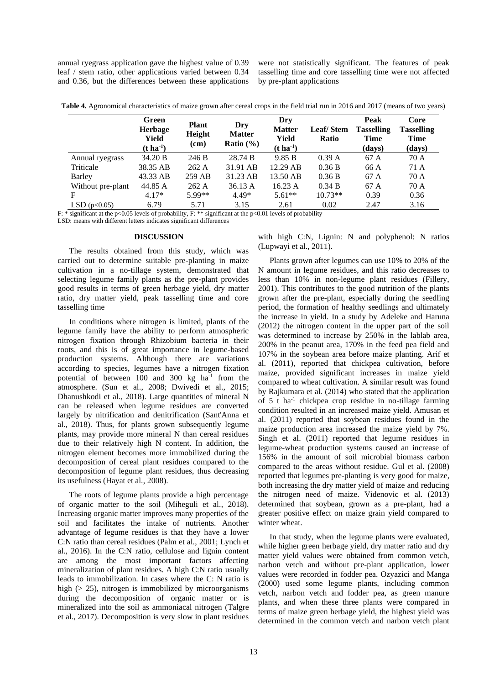annual ryegrass application gave the highest value of 0.39 leaf / stem ratio, other applications varied between 0.34 and 0.36, but the differences between these applications were not statistically significant. The features of peak tasselling time and core tasselling time were not affected by pre-plant applications

**Table 4.** Agronomical characteristics of maize grown after cereal crops in the field trial run in 2016 and 2017 (means of two years)

|                   | Green<br>Herbage<br>Yield<br>$(t \, \mathrm{ha}^{-1})$ | <b>Plant</b><br>Height<br>(cm) | Dry<br><b>Matter</b><br>Ratio $(\% )$ | Dry<br><b>Matter</b><br>Yield<br>$(t \, \mathrm{ha}^{-1})$ | <b>Leaf/Stem</b><br>Ratio | Peak<br><b>Tasselling</b><br><b>Time</b><br>(days) | Core<br><b>Tasselling</b><br><b>Time</b><br>(days) |
|-------------------|--------------------------------------------------------|--------------------------------|---------------------------------------|------------------------------------------------------------|---------------------------|----------------------------------------------------|----------------------------------------------------|
| Annual ryegrass   | 34.20 B                                                | 246 B                          | 28.74 B                               | 9.85 B                                                     | 0.39A                     | 67 A                                               | 70 A                                               |
| Triticale         | 38.35 AB                                               | 262 A                          | 31.91 AB                              | 12.29 AB                                                   | 0.36 B                    | 66 A                                               | 71 A                                               |
| <b>Barley</b>     | 43.33 AB                                               | 259 AB                         | 31.23 AB                              | 13.50 AB                                                   | 0.36 B                    | 67 A                                               | 70 A                                               |
| Without pre-plant | 44.85 A                                                | 262A                           | 36.13A                                | 16.23 A                                                    | 0.34 B                    | 67 A                                               | 70 A                                               |
| F                 | $4.17*$                                                | $5.99**$                       | $4.49*$                               | $5.61**$                                                   | $10.73**$                 | 0.39                                               | 0.36                                               |
| LSD ( $p<0.05$ )  | 6.79                                                   | 5.71                           | 3.15                                  | 2.61                                                       | 0.02                      | 2.47                                               | 3.16                                               |

F: \* significant at the p<0.05 levels of probability, F: \*\* significant at the p<0.01 levels of probability

LSD: means with different letters indicates significant differences

## **DISCUSSION**

The results obtained from this study, which was carried out to determine suitable pre-planting in maize cultivation in a no-tillage system, demonstrated that selecting legume family plants as the pre-plant provides good results in terms of green herbage yield, dry matter ratio, dry matter yield, peak tasselling time and core tasselling time

In conditions where nitrogen is limited, plants of the legume family have the ability to perform atmospheric nitrogen fixation through Rhizobium bacteria in their roots, and this is of great importance in legume-based production systems. Although there are variations according to species, legumes have a nitrogen fixation potential of between 100 and 300 kg ha<sup>-1</sup> from the atmosphere. (Sun et al., 2008; Dwivedi et al., 2015; Dhanushkodi et al., 2018). Large quantities of mineral N can be released when legume residues are converted largely by nitrification and denitrification (Sant'Anna et al., 2018). Thus, for plants grown subsequently legume plants, may provide more mineral N than cereal residues due to their relatively high N content. In addition, the nitrogen element becomes more immobilized during the decomposition of cereal plant residues compared to the decomposition of legume plant residues, thus decreasing its usefulness (Hayat et al., 2008).

The roots of legume plants provide a high percentage of organic matter to the soil (Miheguli et al., 2018). Increasing organic matter improves many properties of the soil and facilitates the intake of nutrients. Another advantage of legume residues is that they have a lower C:N ratio than cereal residues (Palm et al., 2001; Lynch et al., 2016). In the C:N ratio, cellulose and lignin content are among the most important factors affecting mineralization of plant residues. A high C:N ratio usually leads to immobilization. In cases where the C: N ratio is high  $(> 25)$ , nitrogen is immobilized by microorganisms during the decomposition of organic matter or is mineralized into the soil as ammoniacal nitrogen (Talgre et al., 2017). Decomposition is very slow in plant residues

with high C:N, Lignin: N and polyphenol: N ratios (Lupwayi et al., 2011).

Plants grown after legumes can use 10% to 20% of the N amount in legume residues, and this ratio decreases to less than 10% in non-legume plant residues (Fillery, 2001). This contributes to the good nutrition of the plants grown after the pre-plant, especially during the seedling period, the formation of healthy seedlings and ultimately the increase in yield. In a study by Adeleke and Haruna (2012) the nitrogen content in the upper part of the soil was determined to increase by 250% in the lablab area, 200% in the peanut area, 170% in the feed pea field and 107% in the soybean area before maize planting. Arif et al. (2011), reported that chickpea cultivation, before maize, provided significant increases in maize yield compared to wheat cultivation. A similar result was found by Rajkumara et al. (2014) who stated that the application of 5 t ha-1 chickpea crop residue in no-tillage farming condition resulted in an increased maize yield. Amusan et al. (2011) reported that soybean residues found in the maize production area increased the maize yield by 7%. Singh et al. (2011) reported that legume residues in legume-wheat production systems caused an increase of 156% in the amount of soil microbial biomass carbon compared to the areas without residue. Gul et al. (2008) reported that legumes pre-planting is very good for maize, both increasing the dry matter yield of maize and reducing the nitrogen need of maize. Videnovic et al. (2013) determined that soybean, grown as a pre-plant, had a greater positive effect on maize grain yield compared to winter wheat.

In that study, when the legume plants were evaluated, while higher green herbage yield, dry matter ratio and dry matter yield values were obtained from common vetch, narbon vetch and without pre-plant application, lower values were recorded in fodder pea. Ozyazici and Manga (2000) used some legume plants, including common vetch, narbon vetch and fodder pea, as green manure plants, and when these three plants were compared in terms of maize green herbage yield, the highest yield was determined in the common vetch and narbon vetch plant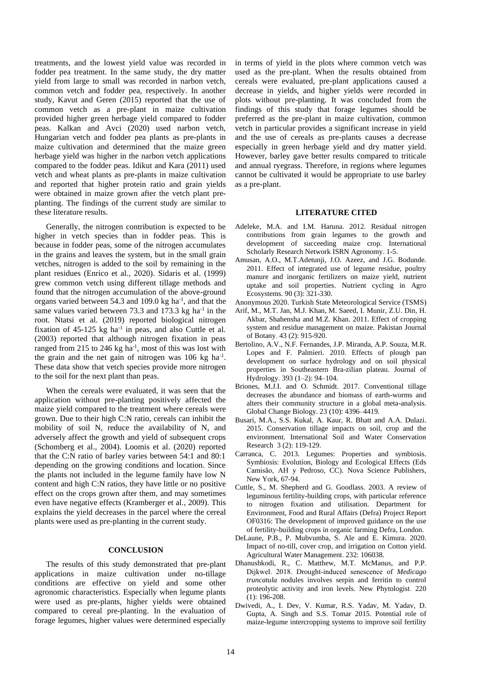treatments, and the lowest yield value was recorded in fodder pea treatment. In the same study, the dry matter yield from large to small was recorded in narbon vetch, common vetch and fodder pea, respectively. In another study, Kavut and Geren (2015) reported that the use of common vetch as a pre-plant in maize cultivation provided higher green herbage yield compared to fodder peas. Kalkan and Avci (2020) used narbon vetch, Hungarian vetch and fodder pea plants as pre-plants in maize cultivation and determined that the maize green herbage yield was higher in the narbon vetch applications compared to the fodder peas. Idikut and Kara (2011) used vetch and wheat plants as pre-plants in maize cultivation and reported that higher protein ratio and grain yields were obtained in maize grown after the vetch plant preplanting. The findings of the current study are similar to these literature results.

Generally, the nitrogen contribution is expected to be higher in vetch species than in fodder peas. This is because in fodder peas, some of the nitrogen accumulates in the grains and leaves the system, but in the small grain vetches, nitrogen is added to the soil by remaining in the plant residues (Enrico et al., 2020). Sidaris et al. (1999) grew common vetch using different tillage methods and found that the nitrogen accumulation of the above-ground organs varied between 54.3 and 109.0 kg ha<sup>-1</sup>, and that the same values varied between  $73.3$  and  $173.3$  kg ha<sup>-1</sup> in the root. Ntatsi et al. (2019) reported biological nitrogen fixation of  $45-125$  kg ha<sup>-1</sup> in peas, and also Cuttle et al. (2003) reported that although nitrogen fixation in peas ranged from 215 to 246  $kg$  ha<sup>-1</sup>, most of this was lost with the grain and the net gain of nitrogen was 106 kg ha<sup>-1</sup>. These data show that vetch species provide more nitrogen to the soil for the next plant than peas.

When the cereals were evaluated, it was seen that the application without pre-planting positively affected the maize yield compared to the treatment where cereals were grown. Due to their high C:N ratio, cereals can inhibit the mobility of soil N, reduce the availability of N, and adversely affect the growth and yield of subsequent crops (Schomberg et al., 2004). Loomis et al. (2020) reported that the C:N ratio of barley varies between 54:1 and 80:1 depending on the growing conditions and location. Since the plants not included in the legume family have low N content and high C:N ratios, they have little or no positive effect on the crops grown after them, and may sometimes even have negative effects (Kramberger et al., 2009). This explains the yield decreases in the parcel where the cereal plants were used as pre-planting in the current study.

#### **CONCLUSION**

The results of this study demonstrated that pre-plant applications in maize cultivation under no-tillage conditions are effective on yield and some other agronomic characteristics. Especially when legume plants were used as pre-plants, higher yields were obtained compared to cereal pre-planting. In the evaluation of forage legumes, higher values were determined especially

in terms of yield in the plots where common vetch was used as the pre-plant. When the results obtained from cereals were evaluated, pre-plant applications caused a decrease in yields, and higher yields were recorded in plots without pre-planting. It was concluded from the findings of this study that forage legumes should be preferred as the pre-plant in maize cultivation, common vetch in particular provides a significant increase in yield and the use of cereals as pre-plants causes a decrease especially in green herbage yield and dry matter yield. However, barley gave better results compared to triticale and annual ryegrass. Therefore, in regions where legumes cannot be cultivated it would be appropriate to use barley as a pre-plant.

# **LITERATURE CITED**

- Adeleke, M.A. and I.M. Haruna. 2012. Residual nitrogen contributions from grain legumes to the growth and development of succeeding maize crop. International Scholarly Research Network ISRN Agronomy. 1-5.
- Amusan, A.O., M.T.Adetunji, J.O. Azeez, and J.G. Bodunde. 2011. Effect of integrated use of legume residue, poultry manure and inorganic fertilizers on maize yield, nutrient uptake and soil properties. Nutrient cycling in Agro Ecosystems. 90 (3): 321-330.
- Anonymous 2020. Turkish State Meteorological Service (TSMS)
- Arif, M., M.T. Jan, M.J. Khan, M. Saeed, I. Munir, Z.U. Din, H. Akbar, Shahensha and M.Z. Khan. 2011. Effect of cropping system and residue management on maize. Pakistan Journal of Botany. 43 (2): 915-920.
- Bertolino, A.V., N.F. Fernandes, J.P. Miranda, A.P. Souza, M.R. Lopes and F. Palmieri. 2010. Effects of plough pan development on surface hydrology and on soil physical properties in Southeastern Bra-zilian plateau. Journal of Hydrology. 393 (1–2): 94–104.
- Briones, M.J.I. and O. Schmidt. 2017. Conventional tillage decreases the abundance and biomass of earth-worms and alters their community structure in a global meta-analysis. Global Change Biology. 23 (10): 4396–4419.
- Busari, M.A., S.S. Kukal, A. Kaur, R. Bhatt and A.A. Dulazi. 2015. Conservation tillage impacts on soil, crop and the environment. International Soil and Water Conservation Research. 3 (2): 119-129.
- Carranca, C. 2013. Legumes: Properties and symbiosis. Symbiosis: Evolution, Biology and Ecological Effects (Eds Camisão, AH y Pedroso, CC). Nova Science Publishers, New York, 67-94.
- Cuttle, S., M. Shepherd and G. Goodlass. 2003. A review of leguminous fertility-building crops, with particular reference to nitrogen fixation and utilisation. Department for Environment, Food and Rural Affairs (Defra) Project Report OF0316: The development of improved guidance on the use of fertility-building crops in organic farming Defra, London.
- DeLaune, P.B., P. Mubvumba, S. Ale and E. Kimura. 2020. Impact of no-till, cover crop, and irrigation on Cotton yield. Agricultural Water Management. 232: 106038.
- Dhanushkodi, R., C. Matthew, M.T. McManus, and P.P. Dijkwel. 2018. Drought‐induced senescence of *Medicago truncatula* nodules involves serpin and ferritin to control proteolytic activity and iron levels. New Phytologist. 220 (1): 196-208.
- Dwivedi, A., I. Dev, V. Kumar, R.S. Yadav, M. Yadav, D. Gupta, A. Singh and S.S. Tomar 2015. Potential role of maize-legume intercropping systems to improve soil fertility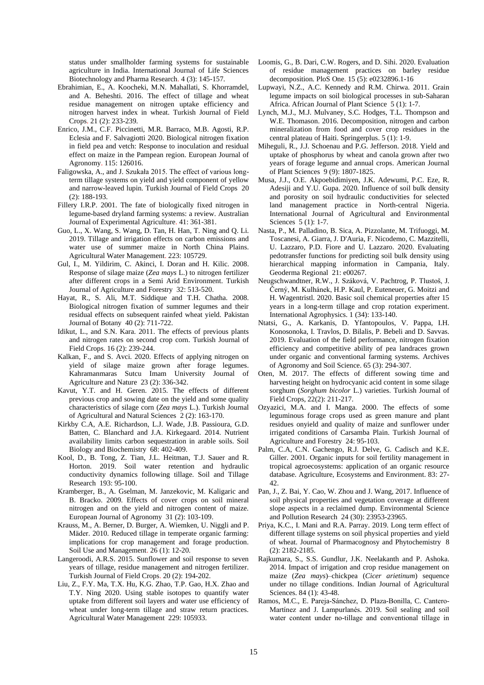status under smallholder farming systems for sustainable agriculture in India. International Journal of Life Sciences Biotechnology and Pharma Research. 4 (3): 145-157.

- Ebrahimian, E., A. Koocheki, M.N. Mahallati, S. Khorramdel, and A. Beheshti. 2016. The effect of tillage and wheat residue management on nitrogen uptake efficiency and nitrogen harvest index in wheat. Turkish Journal of Field Crops. 21 (2): 233-239.
- Enrico, J.M., C.F. Piccinetti, M.R. Barraco, M.B. Agosti, R.P. Eclesia and F. Salvagiotti 2020. Biological nitrogen fixation in field pea and vetch: Response to inoculation and residual effect on maize in the Pampean region. European Journal of Agronomy. 115: 126016.
- Faligowska, A., and J. Szukała 2015. The effect of various longterm tillage systems on yield and yield component of yellow and narrow-leaved lupin. Turkish Journal of Field Crops. 20 (2): 188-193.
- Fillery I.R.P. 2001. The fate of biologically fixed nitrogen in legume-based dryland farming systems: a review. Australian Journal of Experimental Agriculture. 41: 361-381.
- Guo, L., X. Wang, S. Wang, D. Tan, H. Han, T. Ning and Q. Li. 2019. Tillage and irrigation effects on carbon emissions and water use of summer maize in North China Plains. Agricultural Water Management. 223: 105729.
- Gul, I., M. Yildirim, C. Akinci, I. Doran and H. Kilic. 2008. Response of silage maize (*Zea mays* L.) to nitrogen fertilizer after different crops in a Semi Arid Environment. Turkish Journal of Agriculture and Forestry. 32: 513-520.
- Hayat, R., S. Ali, M.T. Siddique and T.H. Chatha. 2008. Biological nitrogen fixation of summer legumes and their residual effects on subsequent rainfed wheat yield. Pakistan Journal of Botany. 40 (2): 711-722.
- Idikut, L., and S.N. Kara. 2011. The effects of previous plants and nitrogen rates on second crop corn. Turkish Journal of Field Crops. 16 (2): 239-244.
- Kalkan, F., and S. Avci. 2020. Effects of applying nitrogen on yield of silage maize grown after forage legumes. Kahramanmaras Sutcu Imam University Journal of Agriculture and Nature. 23 (2): 336-342.
- Kavut, Y.T. and H. Geren. 2015. The effects of different previous crop and sowing date on the yield and some quality characteristics of silage corn (*Zea mays* L.). Turkish Journal of Agricultural and Natural Sciences. 2 (2): 163-170.
- Kirkby C.A, A.E. Richardson, L.J. Wade, J.B. Passioura, G.D. Batten, C. Blanchard and J.A. Kirkegaard. 2014. Nutrient availability limits carbon sequestration in arable soils. Soil Biology and Biochemistry. 68: 402-409.
- Kool, D., B. Tong, Z. Tian, J.L. Heitman, T.J. Sauer and R. Horton. 2019. Soil water retention and hydraulic conductivity dynamics following tillage. Soil and Tillage Research. 193: 95-100.
- Kramberger, B., A. Gselman, M. Janzekovic, M. Kaligaric and B. Bracko. 2009. Effects of cover crops on soil mineral nitrogen and on the yield and nitrogen content of maize. European Journal of Agronomy. 31 (2): 103-109.
- Krauss, M., A. Berner, D. Burger, A. Wiemken, U. Niggli and P. Mäder. 2010. Reduced tillage in temperate organic farming: implications for crop management and forage production. Soil Use and Management. 26 (1): 12-20.
- Langeroodi, A.R.S. 2015. Sunflower and soil response to seven years of tillage, residue management and nitrogen fertilizer. Turkish Journal of Field Crops. 20 (2): 194-202.
- Liu, Z., F.Y. Ma, T.X. Hu, K.G. Zhao, T.P. Gao, H.X. Zhao and T.Y. Ning 2020. Using stable isotopes to quantify water uptake from different soil layers and water use efficiency of wheat under long-term tillage and straw return practices. Agricultural Water Management. 229: 105933.
- Loomis, G., B. Dari, C.W. Rogers, and D. Sihi. 2020. Evaluation of residue management practices on barley residue decomposition. PloS One. 15 (5): e0232896.1-16
- Lupwayi, N.Z., A.C. Kennedy and R.M. Chirwa. 2011. Grain legume impacts on soil biological processes in sub-Saharan Africa. African Journal of Plant Science. 5 (1): 1-7.
- Lynch, M.J., M.J. Mulvaney, S.C. Hodges, T.L. Thompson and W.E. Thomason. 2016. Decomposition, nitrogen and carbon mineralization from food and cover crop residues in the central plateau of Haiti. Springerplus. 5 (1): 1-9.
- Miheguli, R., J.J. Schoenau and P.G. Jefferson. 2018. Yield and uptake of phosphorus by wheat and canola grown after two years of forage legume and annual crops. American Journal of Plant Sciences. 9 (9): 1807-1825.
- Musa, J.J., O.E. Akpoebidimiyen, J.K. Adewumi, P.C. Eze, R. Adesiji and Y.U. Gupa. 2020. Influence of soil bulk density and porosity on soil hydraulic conductivities for selected land management practice in North-central Nigeria. International Journal of Agricultural and Environmental Sciences 5 (1): 1-7.
- Nasta, P., M. Palladino, B. Sica, A. Pizzolante, M. Trifuoggi, M. Toscanesi, A. Giarra, J. D'Auria, F. Nicodemo, C. Mazzitelli, U. Lazzaro, P.D. Fiore and U. Lazzaro. 2020. Evaluating pedotransfer functions for predicting soil bulk density using hierarchical mapping information in Campania, Italy. Geoderma Regional. 21: e00267.
- Neugschwandtner, R.W., J. Száková, V. Pachtrog, P. Tlustoš, J. Černý, M. Kulhánek, H.P. Kaul, P. Euteneuer, G. Moitzi and H. Wagentristl. 2020. Basic soil chemical properties after 15 years in a long-term tillage and crop rotation experiment. International Agrophysics. 1 (34): 133-140.
- Ntatsi, G., A. Karkanis, D. Yfantopoulos, V. Pappa, I.H. Konosonoka, I. Travlos, D. Bilalis, P. Bebeli and D. Savvas. 2019. Evaluation of the field performance, nitrogen fixation efficiency and competitive ability of pea landraces grown under organic and conventional farming systems. Archives of Agronomy and Soil Science. 65 (3): 294-307.
- Oten, M. 2017. The effects of different sowing time and harvesting height on hydrocyanic acid content in some silage sorghum (*Sorghum bicolor* L.) varieties. Turkish Journal of Field Crops, 22(2): 211-217.
- Ozyazici, M.A. and I. Manga. 2000. The effects of some leguminous forage crops used as green manure and plant residues onyield and quality of maize and sunflower under irrigated conditions of Carsamba Plain. Turkish Journal of Agriculture and Forestry. 24: 95-103.
- Palm, C.A, C.N. Gachengo, R.J. Delve, G. Cadisch and K.E. Giller. 2001. Organic inputs for soil fertility management in tropical agroecosystems: application of an organic resource database. Agriculture, Ecosystems and Environment. 83: 27- 42.
- Pan, J., Z. Bai, Y. Cao, W. Zhou and J. Wang, 2017. Influence of soil physical properties and vegetation coverage at different slope aspects in a reclaimed dump. Environmental Science and Pollution Research. 24 (30): 23953-23965.
- Priya, K.C., I. Mani and R.A. Parray. 2019. Long term effect of different tillage systems on soil physical properties and yield of wheat. Journal of Pharmacognosy and Phytochemistry. 8 (2): 2182-2185.
- Rajkumara, S., S.S. Gundlur, J.K. Neelakanth and P. Ashoka. 2014. Impact of irrigation and crop residue management on maize (*Zea mays*)–chickpea (*Cicer arietinum*) sequence under no tillage conditions. Indian Journal of Agricultural Sciences. 84 (1): 43-48.
- Ramos, M.C., E. Pareja‐Sánchez, D. Plaza‐Bonilla, C. Cantero‐ Martínez and J. Lampurlanés. 2019. Soil sealing and soil water content under no-tillage and conventional tillage in